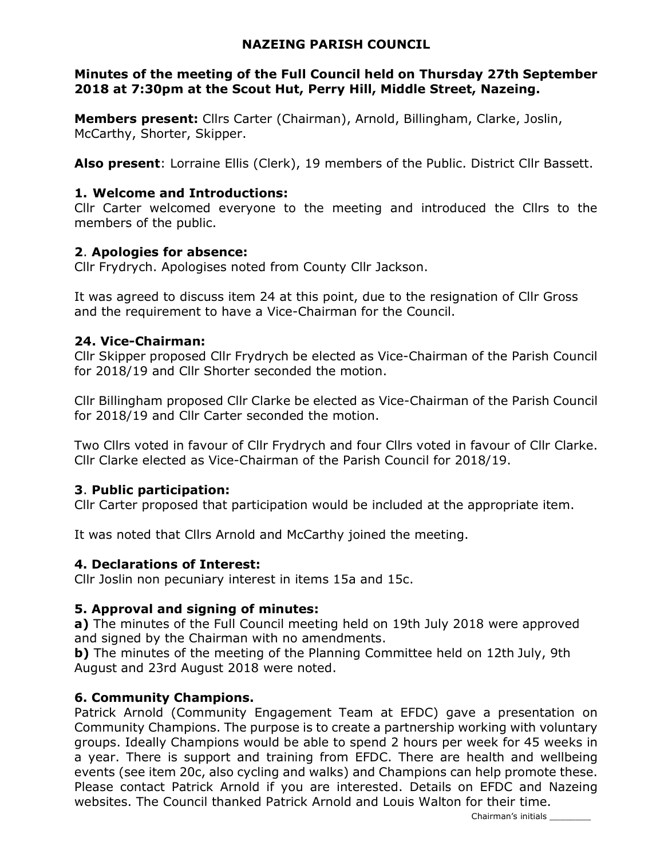### NAZEING PARISH COUNCIL

### Minutes of the meeting of the Full Council held on Thursday 27th September 2018 at 7:30pm at the Scout Hut, Perry Hill, Middle Street, Nazeing.

Members present: Cllrs Carter (Chairman), Arnold, Billingham, Clarke, Joslin, McCarthy, Shorter, Skipper.

Also present: Lorraine Ellis (Clerk), 19 members of the Public. District Cllr Bassett.

### 1. Welcome and Introductions:

Cllr Carter welcomed everyone to the meeting and introduced the Cllrs to the members of the public.

## 2. Apologies for absence:

Cllr Frydrych. Apologises noted from County Cllr Jackson.

It was agreed to discuss item 24 at this point, due to the resignation of Cllr Gross and the requirement to have a Vice-Chairman for the Council.

## 24. Vice-Chairman:

Cllr Skipper proposed Cllr Frydrych be elected as Vice-Chairman of the Parish Council for 2018/19 and Cllr Shorter seconded the motion.

Cllr Billingham proposed Cllr Clarke be elected as Vice-Chairman of the Parish Council for 2018/19 and Cllr Carter seconded the motion.

Two Cllrs voted in favour of Cllr Frydrych and four Cllrs voted in favour of Cllr Clarke. Cllr Clarke elected as Vice-Chairman of the Parish Council for 2018/19.

# 3. Public participation:

Cllr Carter proposed that participation would be included at the appropriate item.

It was noted that Cllrs Arnold and McCarthy joined the meeting.

### 4. Declarations of Interest:

Cllr Joslin non pecuniary interest in items 15a and 15c.

# 5. Approval and signing of minutes:

a) The minutes of the Full Council meeting held on 19th July 2018 were approved and signed by the Chairman with no amendments.

**b)** The minutes of the meeting of the Planning Committee held on 12th July, 9th August and 23rd August 2018 were noted.

# 6. Community Champions.

Patrick Arnold (Community Engagement Team at EFDC) gave a presentation on Community Champions. The purpose is to create a partnership working with voluntary groups. Ideally Champions would be able to spend 2 hours per week for 45 weeks in a year. There is support and training from EFDC. There are health and wellbeing events (see item 20c, also cycling and walks) and Champions can help promote these. Please contact Patrick Arnold if you are interested. Details on EFDC and Nazeing websites. The Council thanked Patrick Arnold and Louis Walton for their time.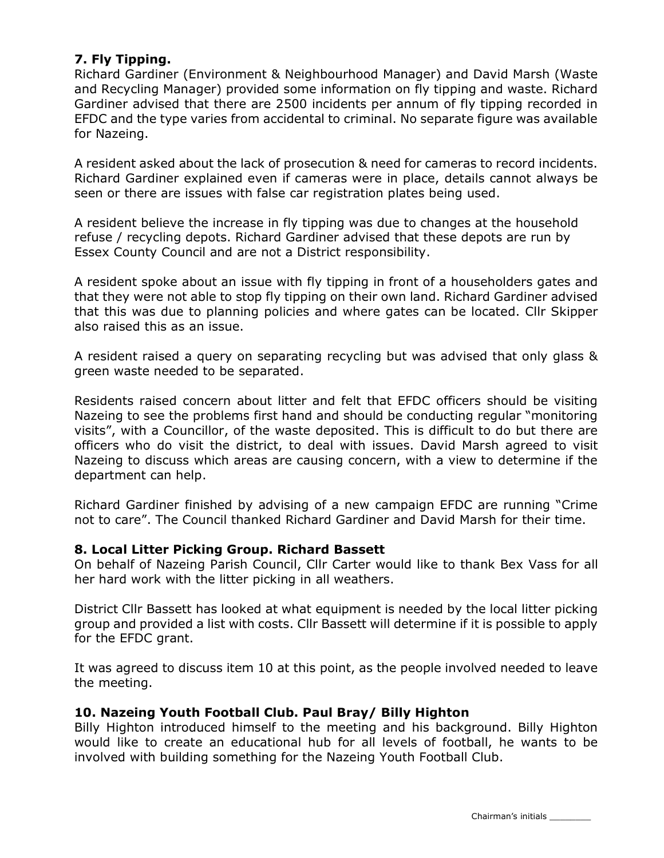## 7. Fly Tipping.

Richard Gardiner (Environment & Neighbourhood Manager) and David Marsh (Waste and Recycling Manager) provided some information on fly tipping and waste. Richard Gardiner advised that there are 2500 incidents per annum of fly tipping recorded in EFDC and the type varies from accidental to criminal. No separate figure was available for Nazeing.

A resident asked about the lack of prosecution & need for cameras to record incidents. Richard Gardiner explained even if cameras were in place, details cannot always be seen or there are issues with false car registration plates being used.

A resident believe the increase in fly tipping was due to changes at the household refuse / recycling depots. Richard Gardiner advised that these depots are run by Essex County Council and are not a District responsibility.

A resident spoke about an issue with fly tipping in front of a householders gates and that they were not able to stop fly tipping on their own land. Richard Gardiner advised that this was due to planning policies and where gates can be located. Cllr Skipper also raised this as an issue.

A resident raised a query on separating recycling but was advised that only glass & green waste needed to be separated.

Residents raised concern about litter and felt that EFDC officers should be visiting Nazeing to see the problems first hand and should be conducting regular "monitoring visits", with a Councillor, of the waste deposited. This is difficult to do but there are officers who do visit the district, to deal with issues. David Marsh agreed to visit Nazeing to discuss which areas are causing concern, with a view to determine if the department can help.

Richard Gardiner finished by advising of a new campaign EFDC are running "Crime not to care". The Council thanked Richard Gardiner and David Marsh for their time.

### 8. Local Litter Picking Group. Richard Bassett

On behalf of Nazeing Parish Council, Cllr Carter would like to thank Bex Vass for all her hard work with the litter picking in all weathers.

District Cllr Bassett has looked at what equipment is needed by the local litter picking group and provided a list with costs. Cllr Bassett will determine if it is possible to apply for the EFDC grant.

It was agreed to discuss item 10 at this point, as the people involved needed to leave the meeting.

### 10. Nazeing Youth Football Club. Paul Bray/ Billy Highton

Billy Highton introduced himself to the meeting and his background. Billy Highton would like to create an educational hub for all levels of football, he wants to be involved with building something for the Nazeing Youth Football Club.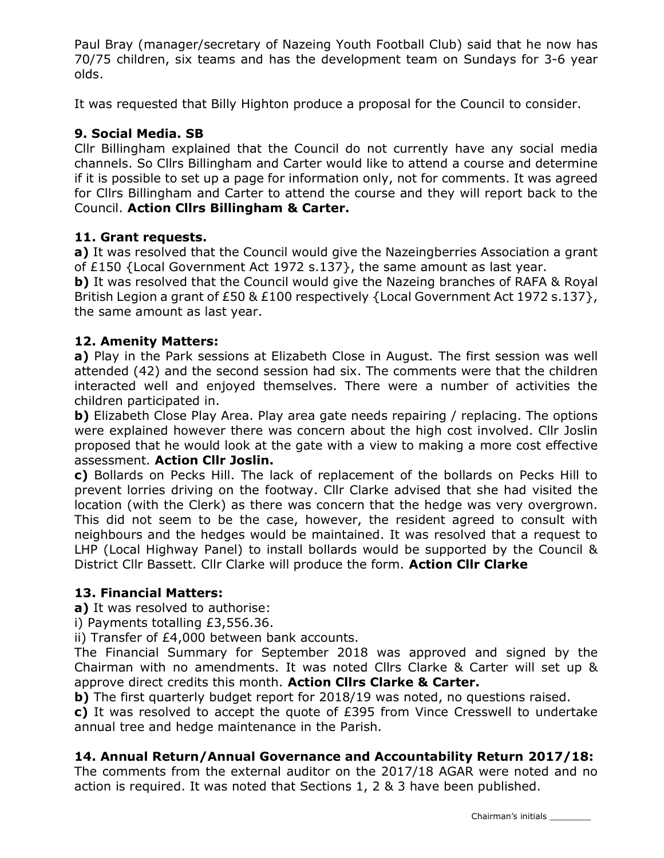Paul Bray (manager/secretary of Nazeing Youth Football Club) said that he now has 70/75 children, six teams and has the development team on Sundays for 3-6 year olds.

It was requested that Billy Highton produce a proposal for the Council to consider.

# 9. Social Media. SB

Cllr Billingham explained that the Council do not currently have any social media channels. So Cllrs Billingham and Carter would like to attend a course and determine if it is possible to set up a page for information only, not for comments. It was agreed for Cllrs Billingham and Carter to attend the course and they will report back to the Council. Action Cllrs Billingham & Carter.

## 11. Grant requests.

a) It was resolved that the Council would give the Nazeingberries Association a grant of £150 {Local Government Act 1972 s.137}, the same amount as last year.

**b)** It was resolved that the Council would give the Nazeing branches of RAFA & Royal British Legion a grant of £50 & £100 respectively {Local Government Act 1972 s.137}, the same amount as last year.

## 12. Amenity Matters:

a) Play in the Park sessions at Elizabeth Close in August. The first session was well attended (42) and the second session had six. The comments were that the children interacted well and enjoyed themselves. There were a number of activities the children participated in.

**b)** Elizabeth Close Play Area. Play area gate needs repairing / replacing. The options were explained however there was concern about the high cost involved. Cllr Joslin proposed that he would look at the gate with a view to making a more cost effective assessment. Action Cllr Joslin.

c) Bollards on Pecks Hill. The lack of replacement of the bollards on Pecks Hill to prevent lorries driving on the footway. Cllr Clarke advised that she had visited the location (with the Clerk) as there was concern that the hedge was very overgrown. This did not seem to be the case, however, the resident agreed to consult with neighbours and the hedges would be maintained. It was resolved that a request to LHP (Local Highway Panel) to install bollards would be supported by the Council & District Cllr Bassett. Cllr Clarke will produce the form. Action Cllr Clarke

### 13. Financial Matters:

a) It was resolved to authorise:

i) Payments totalling £3,556.36.

ii) Transfer of £4,000 between bank accounts.

The Financial Summary for September 2018 was approved and signed by the Chairman with no amendments. It was noted Cllrs Clarke & Carter will set up & approve direct credits this month. Action Cllrs Clarke & Carter.

b) The first quarterly budget report for 2018/19 was noted, no questions raised.

c) It was resolved to accept the quote of £395 from Vince Cresswell to undertake annual tree and hedge maintenance in the Parish.

# 14. Annual Return/Annual Governance and Accountability Return 2017/18:

The comments from the external auditor on the 2017/18 AGAR were noted and no action is required. It was noted that Sections 1, 2 & 3 have been published.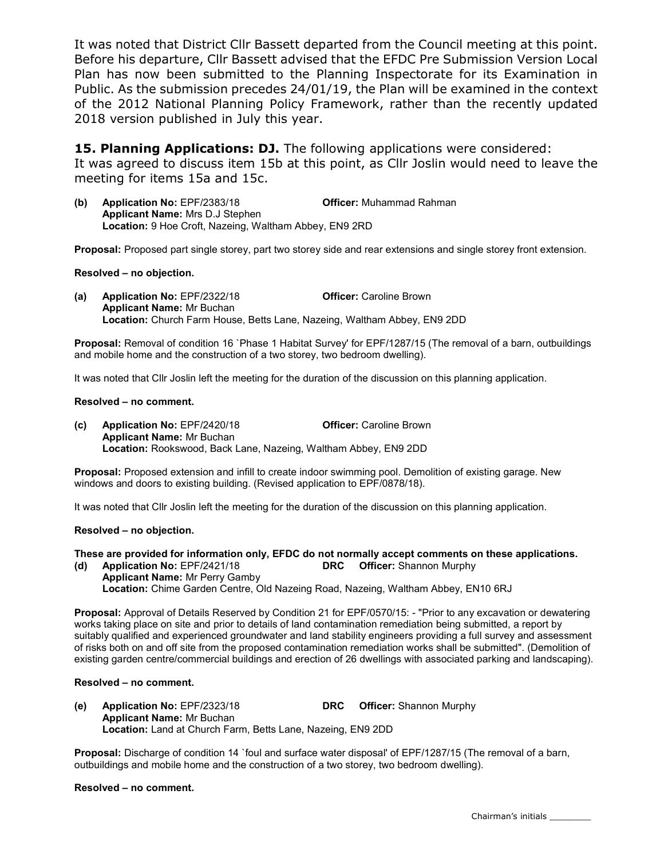It was noted that District Cllr Bassett departed from the Council meeting at this point. Before his departure, Cllr Bassett advised that the EFDC Pre Submission Version Local Plan has now been submitted to the Planning Inspectorate for its Examination in Public. As the submission precedes 24/01/19, the Plan will be examined in the context of the 2012 National Planning Policy Framework, rather than the recently updated 2018 version published in July this year.

15. Planning Applications: DJ. The following applications were considered: It was agreed to discuss item 15b at this point, as Cllr Joslin would need to leave the meeting for items 15a and 15c.

(b) Application No: EPF/2383/18 Officer: Muhammad Rahman Applicant Name: Mrs D.J Stephen Location: 9 Hoe Croft, Nazeing, Waltham Abbey, EN9 2RD

Proposal: Proposed part single storey, part two storey side and rear extensions and single storey front extension.

### Resolved – no objection.

(a) Application No: EPF/2322/18 Officer: Caroline Brown Applicant Name: Mr Buchan Location: Church Farm House, Betts Lane, Nazeing, Waltham Abbey, EN9 2DD

Proposal: Removal of condition 16 `Phase 1 Habitat Survey' for EPF/1287/15 (The removal of a barn, outbuildings and mobile home and the construction of a two storey, two bedroom dwelling).

It was noted that Cllr Joslin left the meeting for the duration of the discussion on this planning application.

#### Resolved – no comment.

(c) Application No: EPF/2420/18 Officer: Caroline Brown Applicant Name: Mr Buchan Location: Rookswood, Back Lane, Nazeing, Waltham Abbey, EN9 2DD

Proposal: Proposed extension and infill to create indoor swimming pool. Demolition of existing garage. New windows and doors to existing building. (Revised application to EPF/0878/18).

It was noted that Cllr Joslin left the meeting for the duration of the discussion on this planning application.

### Resolved – no objection.

These are provided for information only, EFDC do not normally accept comments on these applications.

(d) Application No: EPF/2421/18 DRC Officer: Shannon Murphy Applicant Name: Mr Perry Gamby Location: Chime Garden Centre, Old Nazeing Road, Nazeing, Waltham Abbey, EN10 6RJ

Proposal: Approval of Details Reserved by Condition 21 for EPF/0570/15: - "Prior to any excavation or dewatering works taking place on site and prior to details of land contamination remediation being submitted, a report by suitably qualified and experienced groundwater and land stability engineers providing a full survey and assessment of risks both on and off site from the proposed contamination remediation works shall be submitted". (Demolition of existing garden centre/commercial buildings and erection of 26 dwellings with associated parking and landscaping).

### Resolved – no comment.

(e) Application No: EPF/2323/18 DRC Officer: Shannon Murphy Applicant Name: Mr Buchan Location: Land at Church Farm, Betts Lane, Nazeing, EN9 2DD

Proposal: Discharge of condition 14 `foul and surface water disposal' of EPF/1287/15 (The removal of a barn, outbuildings and mobile home and the construction of a two storey, two bedroom dwelling).

#### Resolved – no comment.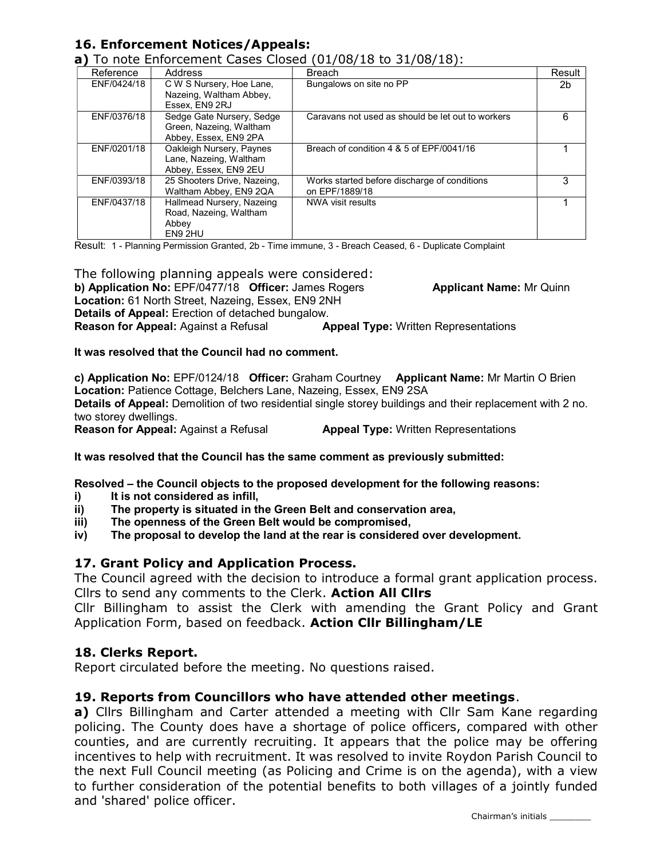# 16. Enforcement Notices/Appeals:

| Reference   | <b>Address</b>                                                                | <b>Breach</b>                                                  | Result |
|-------------|-------------------------------------------------------------------------------|----------------------------------------------------------------|--------|
| ENF/0424/18 | C W S Nursery, Hoe Lane,<br>Nazeing, Waltham Abbey,                           | Bungalows on site no PP                                        | 2b     |
|             | Essex, EN9 2RJ                                                                |                                                                |        |
| ENF/0376/18 | Sedge Gate Nursery, Sedge<br>Green, Nazeing, Waltham<br>Abbey, Essex, EN9 2PA | Caravans not used as should be let out to workers              | 6      |
| ENF/0201/18 | Oakleigh Nursery, Paynes<br>Lane, Nazeing, Waltham<br>Abbey, Essex, EN9 2EU   | Breach of condition 4 & 5 of EPF/0041/16                       |        |
| ENF/0393/18 | 25 Shooters Drive, Nazeing,<br>Waltham Abbey, EN9 2QA                         | Works started before discharge of conditions<br>on EPF/1889/18 | 3      |
| ENF/0437/18 | Hallmead Nursery, Nazeing<br>Road, Nazeing, Waltham<br>Abbey<br>EN9 2HU       | NWA visit results                                              |        |

Result: 1 - Planning Permission Granted, 2b - Time immune, 3 - Breach Ceased, 6 - Duplicate Complaint

The following planning appeals were considered: b) Application No: EPF/0477/18 Officer: James Rogers **Applicant Name:** Mr Quinn Location: 61 North Street, Nazeing, Essex, EN9 2NH Details of Appeal: Erection of detached bungalow. **Reason for Appeal:** Against a Refusal **Appeal Type:** Written Representations

It was resolved that the Council had no comment.

c) Application No: EPF/0124/18 Officer: Graham Courtney Applicant Name: Mr Martin O Brien Location: Patience Cottage, Belchers Lane, Nazeing, Essex, EN9 2SA Details of Appeal: Demolition of two residential single storey buildings and their replacement with 2 no. two storey dwellings. **Reason for Appeal:** Against a Refusal **Appeal Type:** Written Representations

It was resolved that the Council has the same comment as previously submitted:

Resolved – the Council objects to the proposed development for the following reasons:

- i) It is not considered as infill,
- ii) The property is situated in the Green Belt and conservation area,
- iii) The openness of the Green Belt would be compromised,
- iv) The proposal to develop the land at the rear is considered over development.

# 17. Grant Policy and Application Process.

The Council agreed with the decision to introduce a formal grant application process. Cllrs to send any comments to the Clerk. Action All Cllrs

Cllr Billingham to assist the Clerk with amending the Grant Policy and Grant Application Form, based on feedback. Action Cllr Billingham/LE

# 18. Clerks Report.

Report circulated before the meeting. No questions raised.

# 19. Reports from Councillors who have attended other meetings.

a) Cllrs Billingham and Carter attended a meeting with Cllr Sam Kane regarding policing. The County does have a shortage of police officers, compared with other counties, and are currently recruiting. It appears that the police may be offering incentives to help with recruitment. It was resolved to invite Roydon Parish Council to the next Full Council meeting (as Policing and Crime is on the agenda), with a view to further consideration of the potential benefits to both villages of a jointly funded and 'shared' police officer.